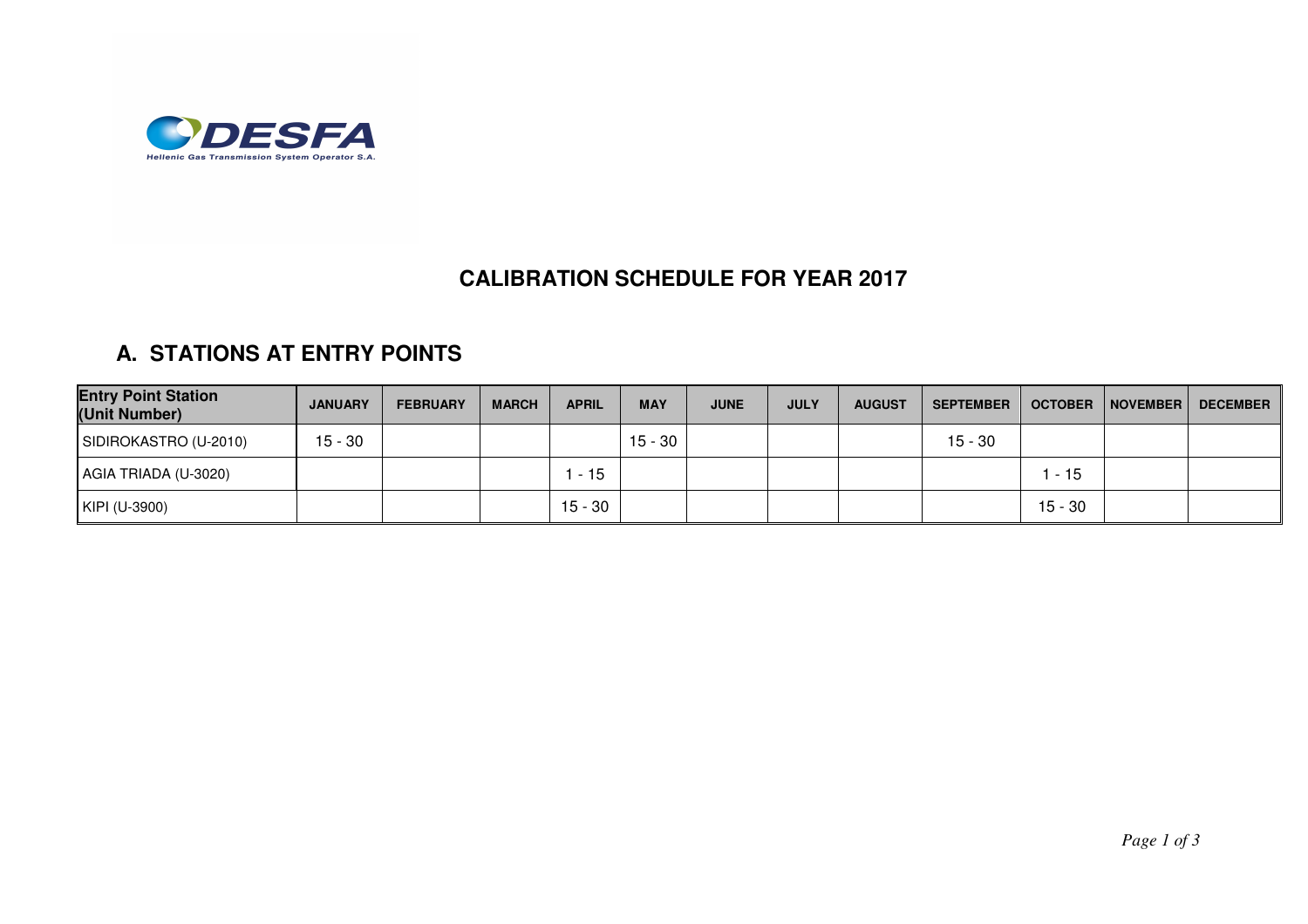

## **CALIBRATION SCHEDULE FOR YEAR 2017**

## **A. STATIONS AT ENTRY POINTS**

| <b>Entry Point Station</b><br>(Unit Number) | <b>JANUARY</b> | <b>FEBRUARY</b> | <b>MARCH</b> | <b>APRIL</b> | <b>MAY</b> | <b>JUNE</b> | <b>JULY</b> | <b>AUGUST</b> | <b>SEPTEMBER</b> | <b>OCTOBER</b> | <b>NOVEMBER</b> | <b>DECEMBER</b> |
|---------------------------------------------|----------------|-----------------|--------------|--------------|------------|-------------|-------------|---------------|------------------|----------------|-----------------|-----------------|
| SIDIROKASTRO (U-2010)                       | $15 - 30$      |                 |              |              | $15 - 30$  |             |             |               | $15 - 30$        |                |                 |                 |
| AGIA TRIADA (U-3020)                        |                |                 |              | $-15$        |            |             |             |               |                  | . - 15         |                 |                 |
| KIPI (U-3900)                               |                |                 |              | $15 - 30$    |            |             |             |               |                  | $15 - 30$      |                 |                 |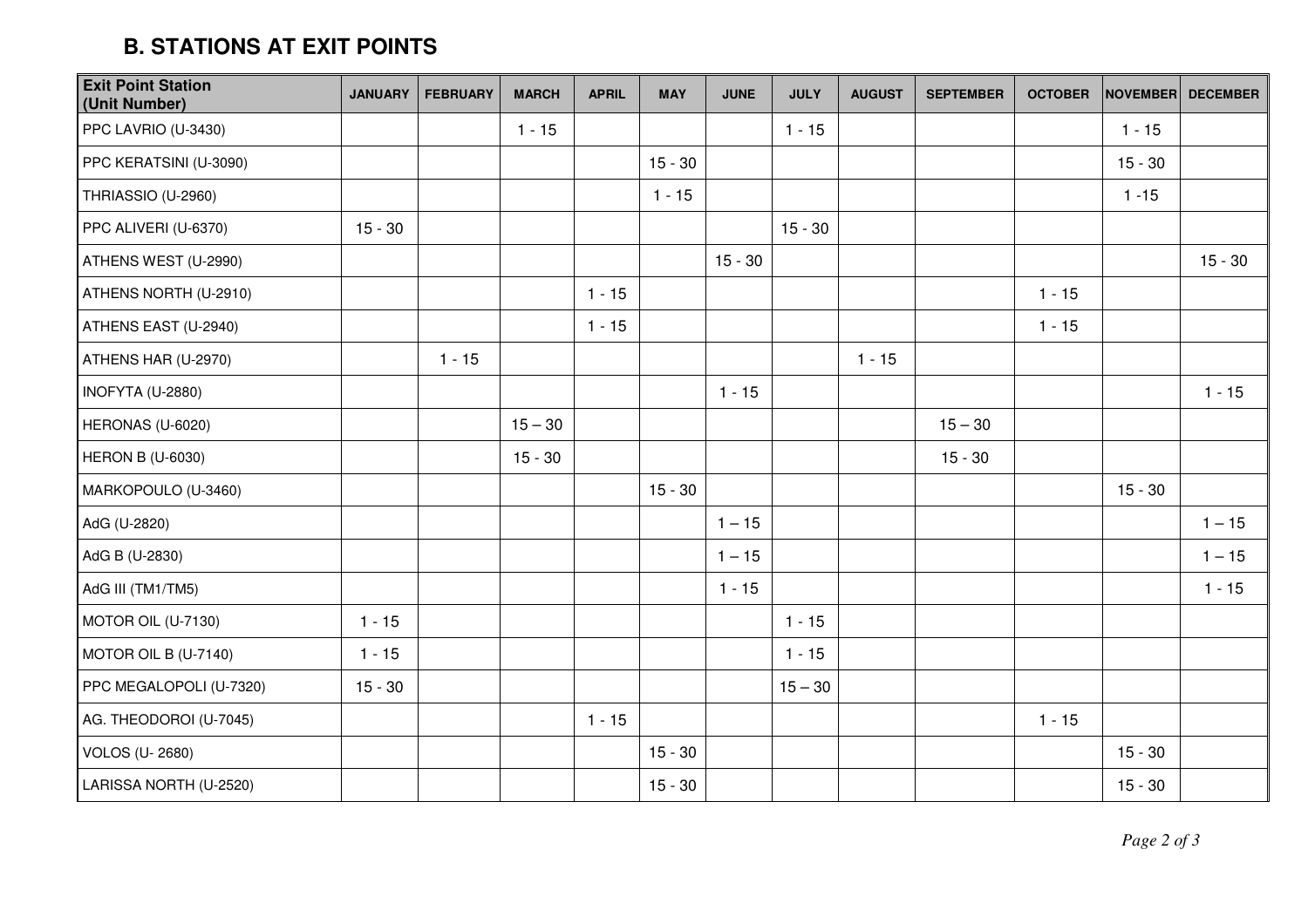## **B. STATIONS AT EXIT POINTS**

| <b>Exit Point Station</b><br>(Unit Number) | <b>JANUARY</b> | <b>FEBRUARY</b> | <b>MARCH</b> | <b>APRIL</b> | <b>MAY</b> | <b>JUNE</b> | <b>JULY</b> | <b>AUGUST</b> | <b>SEPTEMBER</b> | <b>OCTOBER</b> | <b>NOVEMBER</b> | <b>DECEMBER</b> |
|--------------------------------------------|----------------|-----------------|--------------|--------------|------------|-------------|-------------|---------------|------------------|----------------|-----------------|-----------------|
| PPC LAVRIO (U-3430)                        |                |                 | $1 - 15$     |              |            |             | $1 - 15$    |               |                  |                | $1 - 15$        |                 |
| PPC KERATSINI (U-3090)                     |                |                 |              |              | $15 - 30$  |             |             |               |                  |                | $15 - 30$       |                 |
| THRIASSIO (U-2960)                         |                |                 |              |              | $1 - 15$   |             |             |               |                  |                | $1 - 15$        |                 |
| PPC ALIVERI (U-6370)                       | $15 - 30$      |                 |              |              |            |             | $15 - 30$   |               |                  |                |                 |                 |
| ATHENS WEST (U-2990)                       |                |                 |              |              |            | $15 - 30$   |             |               |                  |                |                 | $15 - 30$       |
| ATHENS NORTH (U-2910)                      |                |                 |              | $1 - 15$     |            |             |             |               |                  | $1 - 15$       |                 |                 |
| ATHENS EAST (U-2940)                       |                |                 |              | $1 - 15$     |            |             |             |               |                  | $1 - 15$       |                 |                 |
| ATHENS HAR (U-2970)                        |                | $1 - 15$        |              |              |            |             |             | $1 - 15$      |                  |                |                 |                 |
| INOFYTA (U-2880)                           |                |                 |              |              |            | $1 - 15$    |             |               |                  |                |                 | $1 - 15$        |
| HERONAS (U-6020)                           |                |                 | $15 - 30$    |              |            |             |             |               | $15 - 30$        |                |                 |                 |
| HERON B (U-6030)                           |                |                 | $15 - 30$    |              |            |             |             |               | $15 - 30$        |                |                 |                 |
| MARKOPOULO (U-3460)                        |                |                 |              |              | $15 - 30$  |             |             |               |                  |                | $15 - 30$       |                 |
| AdG (U-2820)                               |                |                 |              |              |            | $1 - 15$    |             |               |                  |                |                 | $1 - 15$        |
| AdG B (U-2830)                             |                |                 |              |              |            | $1 - 15$    |             |               |                  |                |                 | $1 - 15$        |
| AdG III (TM1/TM5)                          |                |                 |              |              |            | $1 - 15$    |             |               |                  |                |                 | $1 - 15$        |
| MOTOR OIL (U-7130)                         | $1 - 15$       |                 |              |              |            |             | $1 - 15$    |               |                  |                |                 |                 |
| MOTOR OIL B (U-7140)                       | $1 - 15$       |                 |              |              |            |             | $1 - 15$    |               |                  |                |                 |                 |
| PPC MEGALOPOLI (U-7320)                    | $15 - 30$      |                 |              |              |            |             | $15 - 30$   |               |                  |                |                 |                 |
| AG. THEODOROI (U-7045)                     |                |                 |              | $1 - 15$     |            |             |             |               |                  | $1 - 15$       |                 |                 |
| VOLOS (U-2680)                             |                |                 |              |              | $15 - 30$  |             |             |               |                  |                | $15 - 30$       |                 |
| LARISSA NORTH (U-2520)                     |                |                 |              |              | $15 - 30$  |             |             |               |                  |                | $15 - 30$       |                 |